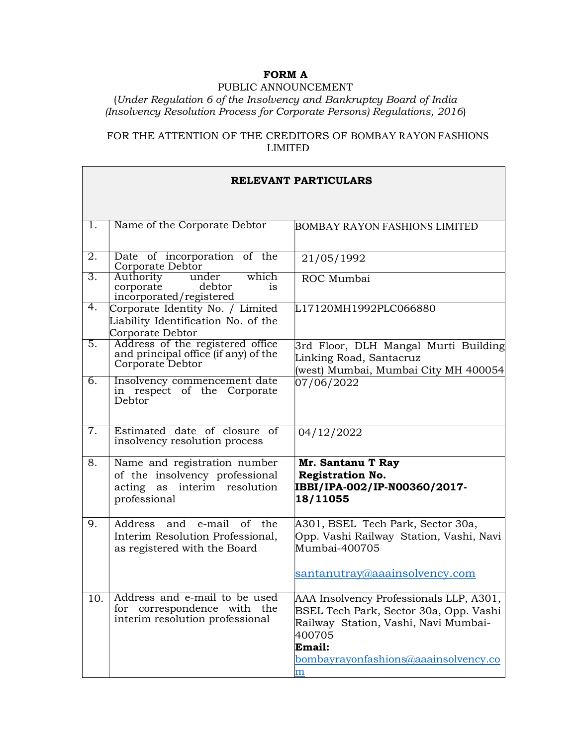# FORM A

#### PUBLIC ANNOUNCEMENT

### (Under Regulation 6 of the Insolvency and Bankruptcy Board of India (Insolvency Resolution Process for Corporate Persons) Regulations, 2016)

## FOR THE ATTENTION OF THE CREDITORS OF BOMBAY RAYON FASHIONS LIMITED

| <b>RELEVANT PARTICULARS</b> |                                                                                                                |                                                                                                                                                                                                    |
|-----------------------------|----------------------------------------------------------------------------------------------------------------|----------------------------------------------------------------------------------------------------------------------------------------------------------------------------------------------------|
|                             |                                                                                                                |                                                                                                                                                                                                    |
| 1.                          | Name of the Corporate Debtor                                                                                   | <b>BOMBAY RAYON FASHIONS LIMITED</b>                                                                                                                                                               |
| 2.                          | Date of incorporation of the<br>Corporate Debtor                                                               | 21/05/1992                                                                                                                                                                                         |
| 3.                          | which<br>Authority<br>under<br>debtor<br>corporate<br><sup>is</sup><br>incorporated/registered                 | ROC Mumbai                                                                                                                                                                                         |
| 4.                          | Corporate Identity No. / Limited<br>Liability Identification No. of the<br>Corporate Debtor                    | L17120MH1992PLC066880                                                                                                                                                                              |
| 5.                          | Address of the registered office<br>and principal office (if any) of the<br>Corporate Debtor                   | 3rd Floor, DLH Mangal Murti Building<br>Linking Road, Santacruz<br>(west) Mumbai, Mumbai City MH 400054                                                                                            |
| 6.                          | Insolvency commencement date<br>in respect of the Corporate<br>Debtor                                          | 07/06/2022                                                                                                                                                                                         |
| 7.                          | Estimated date of closure of<br>insolvency resolution process                                                  | 04/12/2022                                                                                                                                                                                         |
| 8.                          | Name and registration number<br>of the insolvency professional<br>acting as interim resolution<br>professional | Mr. Santanu T Ray<br><b>Registration No.</b><br>IBBI/IPA-002/IP-N00360/2017-<br>18/11055                                                                                                           |
| 9.                          | Address and e-mail<br>of the<br>Interim Resolution Professional,<br>as registered with the Board               | A301, BSEL Tech Park, Sector 30a,<br>Opp. Vashi Railway Station, Vashi, Navi<br>Mumbai-400705<br>santanutray@aaainsolvency.com                                                                     |
| 10.                         | Address and e-mail to be used<br>correspondence with the<br>for<br>interim resolution professional             | AAA Insolvency Professionals LLP, A301,<br>BSEL Tech Park, Sector 30a, Opp. Vashi<br>Railway Station, Vashi, Navi Mumbai-<br>400705<br>Email:<br>bombayrayonfashions@aaainsolvency.co<br>${\rm m}$ |